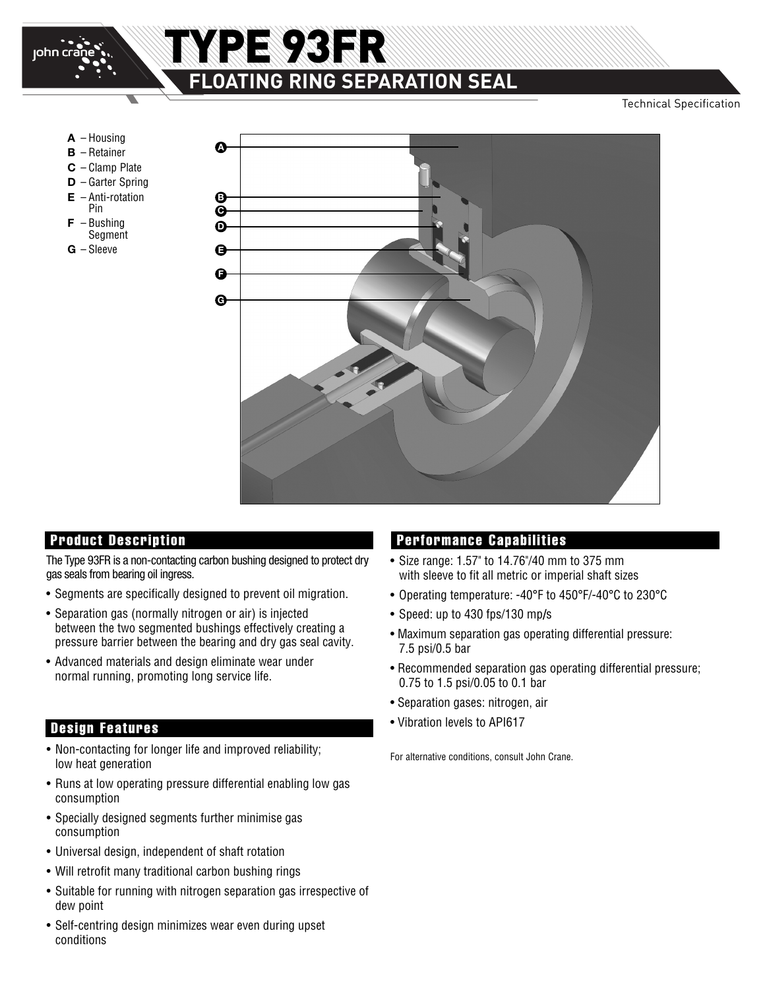

# TYPE 93FR **FLOATING RING SEPARATION SEAL**

Technical Specification

- **A** Housing
- **B** Retainer
- **C** Clamp Plate
- **D** Garter Spring
- **E** Anti-rotation Pin
- 
- **F** Bushing **Segment**
- **G** Sleeve



The Type 93FR is a non-contacting carbon bushing designed to protect dry gas seals from bearing oil ingress.

- Segments are specifically designed to prevent oil migration.
- Separation gas (normally nitrogen or air) is injected between the two segmented bushings effectively creating a pressure barrier between the bearing and dry gas seal cavity.
- Advanced materials and design eliminate wear under normal running, promoting long service life.

### **Design Features**

- Non-contacting for longer life and improved reliability;<br>
For alternative conditions, consult John Crane. low heat generation
- Runs at low operating pressure differential enabling low gas consumption
- Specially designed segments further minimise gas consumption
- Universal design, independent of shaft rotation
- Will retrofit many traditional carbon bushing rings
- Suitable for running with nitrogen separation gas irrespective of dew point
- Self-centring design minimizes wear even during upset conditions

### **Product Description Performance Capabilities**

- Size range: 1.57" to 14.76"/40 mm to 375 mm with sleeve to fit all metric or imperial shaft sizes
- Operating temperature: -40°F to 450°F/-40°C to 230°C
- Speed: up to 430 fps/130 mp**/**s
- Maximum separation gas operating differential pressure: 7.5 psi/0.5 bar
- Recommended separation gas operating differential pressure; 0.75 to 1.5 psi/0.05 to 0.1 bar
- Separation gases: nitrogen, air
- Vibration levels to API617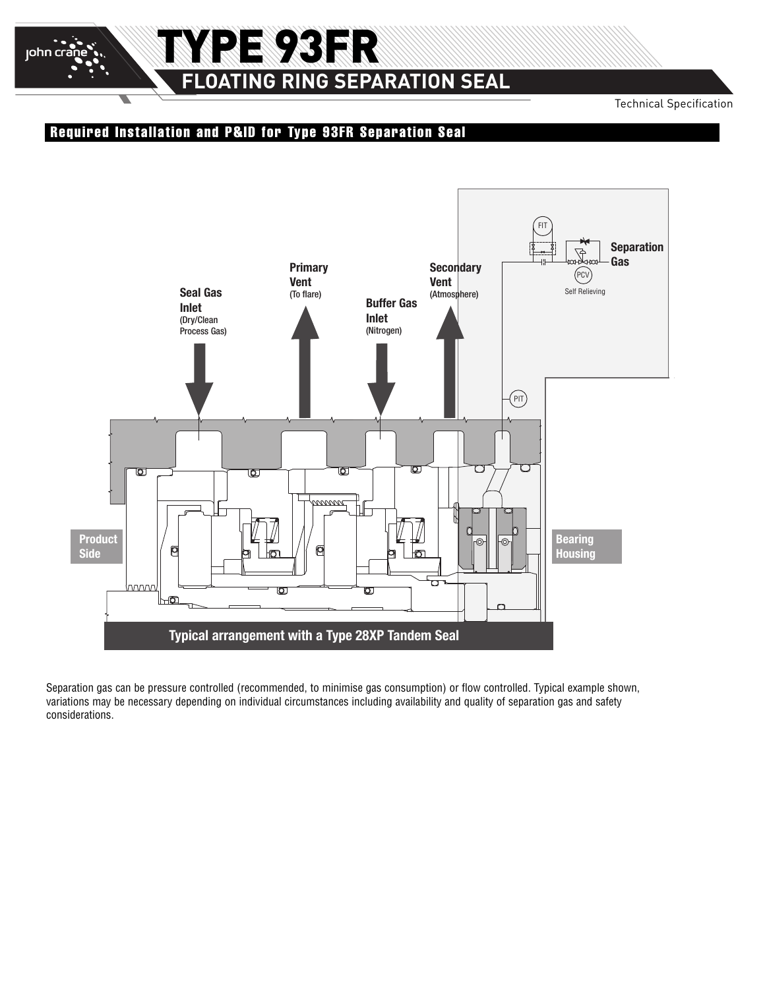# TYPE 93FR **FLOATING RING SEPARATION SEAL**

Technical Specification

### **Required Installation and P&ID for Type 93FR Separation Seal**

john cra



Separation gas can be pressure controlled (recommended, to minimise gas consumption) or flow controlled. Typical example shown, variations may be necessary depending on individual circumstances including availability and quality of separation gas and safety considerations.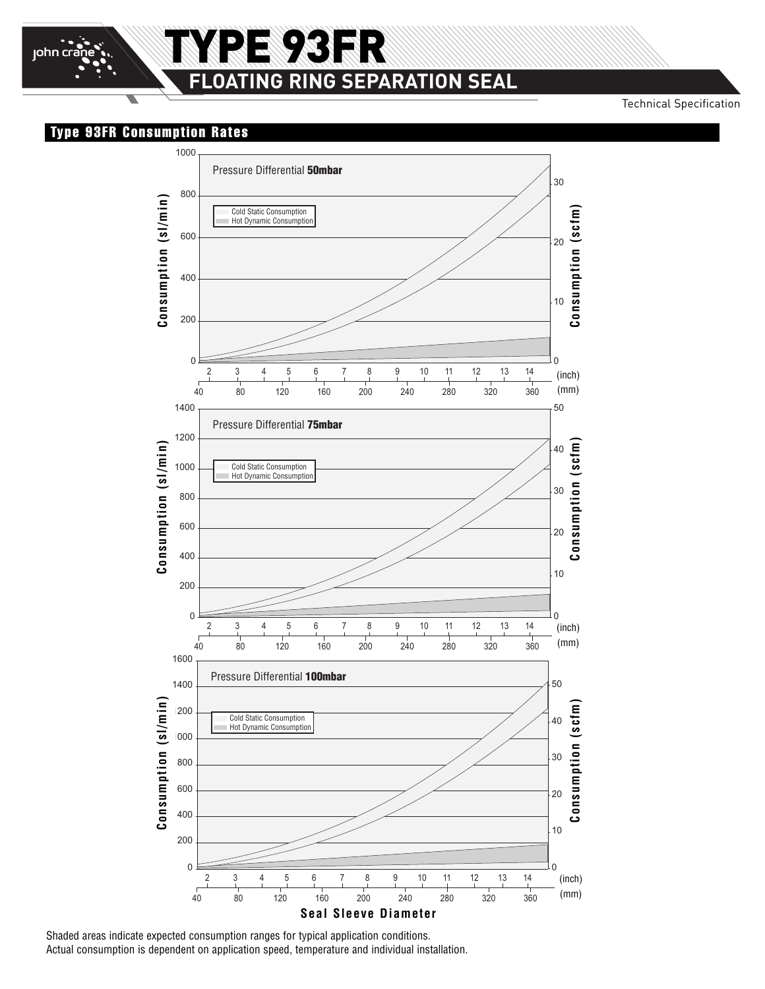Technical Specification

#### **Type 93FR Consumption Rates**

john cra



Shaded areas indicate expected consumption ranges for typical application conditions. Actual consumption is dependent on application speed, temperature and individual installation.